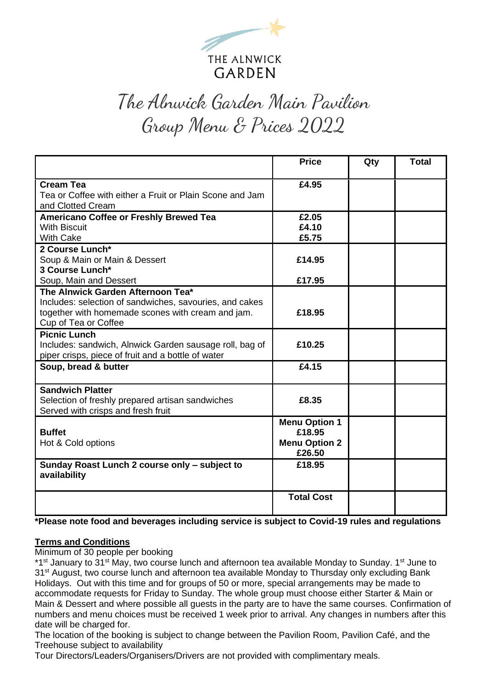

# The Alnwick Garden Main Pavilion Group Menu & Prices 2022

|                                                                                                                                                                           | <b>Price</b>                                                     | Qty | <b>Total</b> |
|---------------------------------------------------------------------------------------------------------------------------------------------------------------------------|------------------------------------------------------------------|-----|--------------|
| <b>Cream Tea</b><br>Tea or Coffee with either a Fruit or Plain Scone and Jam<br>and Clotted Cream                                                                         | £4.95                                                            |     |              |
| Americano Coffee or Freshly Brewed Tea<br><b>With Biscuit</b><br><b>With Cake</b>                                                                                         | £2.05<br>£4.10<br>£5.75                                          |     |              |
| 2 Course Lunch*<br>Soup & Main or Main & Dessert<br>3 Course Lunch*                                                                                                       | £14.95                                                           |     |              |
| Soup, Main and Dessert                                                                                                                                                    | £17.95                                                           |     |              |
| The Alnwick Garden Afternoon Tea*<br>Includes: selection of sandwiches, savouries, and cakes<br>together with homemade scones with cream and jam.<br>Cup of Tea or Coffee | £18.95                                                           |     |              |
| <b>Picnic Lunch</b><br>Includes: sandwich, Alnwick Garden sausage roll, bag of<br>piper crisps, piece of fruit and a bottle of water                                      | £10.25                                                           |     |              |
| Soup, bread & butter                                                                                                                                                      | £4.15                                                            |     |              |
| <b>Sandwich Platter</b><br>Selection of freshly prepared artisan sandwiches<br>Served with crisps and fresh fruit                                                         | £8.35                                                            |     |              |
| <b>Buffet</b><br>Hot & Cold options                                                                                                                                       | <b>Menu Option 1</b><br>£18.95<br><b>Menu Option 2</b><br>£26.50 |     |              |
| Sunday Roast Lunch 2 course only - subject to<br>availability                                                                                                             | £18.95                                                           |     |              |
|                                                                                                                                                                           | <b>Total Cost</b>                                                |     |              |

**\*Please note food and beverages including service is subject to Covid-19 rules and regulations**

#### **Terms and Conditions**

Minimum of 30 people per booking

\*1<sup>st</sup> January to 31<sup>st</sup> May, two course lunch and afternoon tea available Monday to Sunday. 1<sup>st</sup> June to 31<sup>st</sup> August, two course lunch and afternoon tea available Monday to Thursday only excluding Bank Holidays. Out with this time and for groups of 50 or more, special arrangements may be made to accommodate requests for Friday to Sunday. The whole group must choose either Starter & Main or Main & Dessert and where possible all guests in the party are to have the same courses. Confirmation of numbers and menu choices must be received 1 week prior to arrival. Any changes in numbers after this date will be charged for.

The location of the booking is subject to change between the Pavilion Room, Pavilion Café, and the Treehouse subject to availability

Tour Directors/Leaders/Organisers/Drivers are not provided with complimentary meals.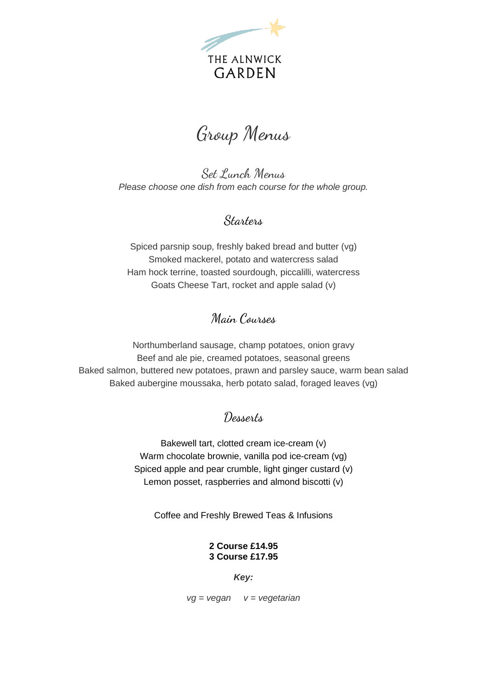

## Group Menus

Set Lunch Menus *Please choose one dish from each course for the whole group.*

#### **Starters**

Spiced parsnip soup, freshly baked bread and butter (vg) Smoked mackerel, potato and watercress salad Ham hock terrine, toasted sourdough, piccalilli, watercress Goats Cheese Tart, rocket and apple salad (v)

### Main Courses

Northumberland sausage, champ potatoes, onion gravy Beef and ale pie, creamed potatoes, seasonal greens Baked salmon, buttered new potatoes, prawn and parsley sauce, warm bean salad Baked aubergine moussaka, herb potato salad, foraged leaves (vg)

### Desserts

Bakewell tart, clotted cream ice-cream (v) Warm chocolate brownie, vanilla pod ice-cream (vg) Spiced apple and pear crumble, light ginger custard (v) Lemon posset, raspberries and almond biscotti (v)

Coffee and Freshly Brewed Teas & Infusions

#### **2 Course £14.95 3 Course £17.95**

*Key:*

*vg = vegan v = vegetarian*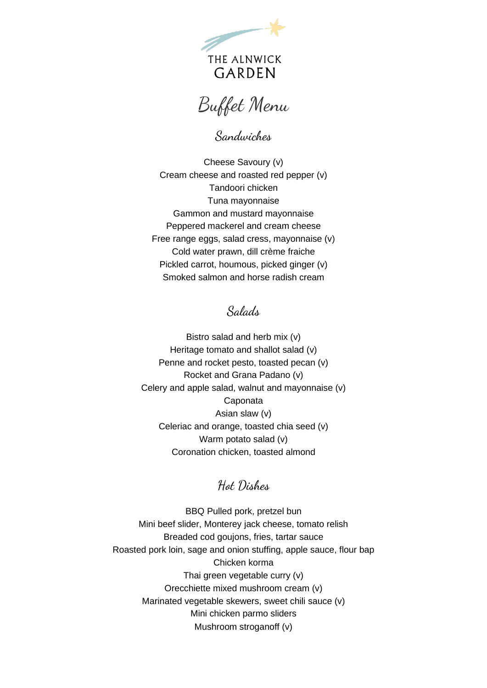

Buffet Menu

Sandwiches

Cheese Savoury (v) Cream cheese and roasted red pepper (v) Tandoori chicken Tuna mayonnaise Gammon and mustard mayonnaise Peppered mackerel and cream cheese Free range eggs, salad cress, mayonnaise (v) Cold water prawn, dill crème fraiche Pickled carrot, houmous, picked ginger (v) Smoked salmon and horse radish cream

Salads

Bistro salad and herb mix (v) Heritage tomato and shallot salad (v) Penne and rocket pesto, toasted pecan (v) Rocket and Grana Padano (v) Celery and apple salad, walnut and mayonnaise (v) Caponata Asian slaw (v) Celeriac and orange, toasted chia seed (v) Warm potato salad (v) Coronation chicken, toasted almond

#### Hot Dishes

BBQ Pulled pork, pretzel bun Mini beef slider, Monterey jack cheese, tomato relish Breaded cod goujons, fries, tartar sauce Roasted pork loin, sage and onion stuffing, apple sauce, flour bap Chicken korma Thai green vegetable curry (v) Orecchiette mixed mushroom cream (v) Marinated vegetable skewers, sweet chili sauce (v) Mini chicken parmo sliders Mushroom stroganoff (v)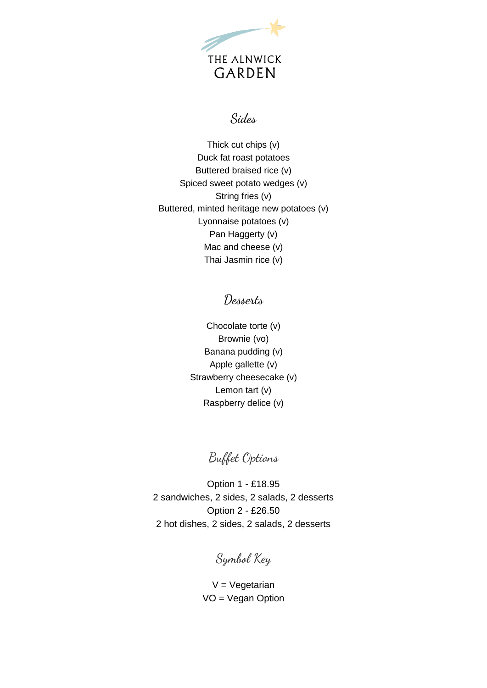

#### Sides

Thick cut chips (v) Duck fat roast potatoes Buttered braised rice (v) Spiced sweet potato wedges (v) String fries (v) Buttered, minted heritage new potatoes (v) Lyonnaise potatoes (v) Pan Haggerty (v) Mac and cheese (v) Thai Jasmin rice (v)

#### Desserts

Chocolate torte (v) Brownie (vo) Banana pudding (v) Apple gallette (v) Strawberry cheesecake (v) Lemon tart (v) Raspberry delice (v)

Buffet Options

Option 1 - £18.95 2 sandwiches, 2 sides, 2 salads, 2 desserts Option 2 - £26.50 2 hot dishes, 2 sides, 2 salads, 2 desserts

Symbol Key

 $V = V$ egetarian VO = Vegan Option